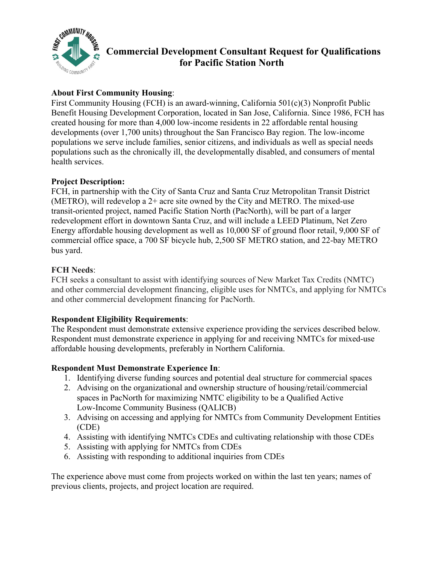

# **Commercial Development Consultant Request for Qualifications for Pacific Station North**

## **About First Community Housing**:

First Community Housing (FCH) is an award-winning, California 501(c)(3) Nonprofit Public Benefit Housing Development Corporation, located in San Jose, California. Since 1986, FCH has created housing for more than 4,000 low-income residents in 22 affordable rental housing developments (over 1,700 units) throughout the San Francisco Bay region. The low-income populations we serve include families, senior citizens, and individuals as well as special needs populations such as the chronically ill, the developmentally disabled, and consumers of mental health services.

#### **Project Description:**

FCH, in partnership with the City of Santa Cruz and Santa Cruz Metropolitan Transit District (METRO), will redevelop a 2+ acre site owned by the City and METRO. The mixed-use transit-oriented project, named Pacific Station North (PacNorth), will be part of a larger redevelopment effort in downtown Santa Cruz, and will include a LEED Platinum, Net Zero Energy affordable housing development as well as 10,000 SF of ground floor retail, 9,000 SF of commercial office space, a 700 SF bicycle hub, 2,500 SF METRO station, and 22-bay METRO bus yard.

#### **FCH Needs**:

FCH seeks a consultant to assist with identifying sources of New Market Tax Credits (NMTC) and other commercial development financing, eligible uses for NMTCs, and applying for NMTCs and other commercial development financing for PacNorth.

### **Respondent Eligibility Requirements**:

The Respondent must demonstrate extensive experience providing the services described below. Respondent must demonstrate experience in applying for and receiving NMTCs for mixed-use affordable housing developments, preferably in Northern California.

#### **Respondent Must Demonstrate Experience In**:

- 1. Identifying diverse funding sources and potential deal structure for commercial spaces
- 2. Advising on the organizational and ownership structure of housing/retail/commercial spaces in PacNorth for maximizing NMTC eligibility to be a Qualified Active Low-Income Community Business (QALICB)
- 3. Advising on accessing and applying for NMTCs from Community Development Entities (CDE)
- 4. Assisting with identifying NMTCs CDEs and cultivating relationship with those CDEs
- 5. Assisting with applying for NMTCs from CDEs
- 6. Assisting with responding to additional inquiries from CDEs

The experience above must come from projects worked on within the last ten years; names of previous clients, projects, and project location are required.